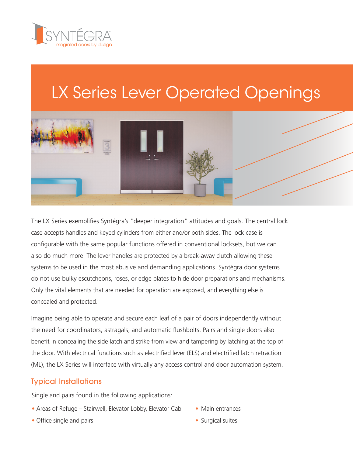

# LX Series Lever Operated Openings



The LX Series exemplifies Syntégra's "deeper integration" attitudes and goals. The central lock case accepts handles and keyed cylinders from either and/or both sides. The lock case is configurable with the same popular functions offered in conventional locksets, but we can also do much more. The lever handles are protected by a break-away clutch allowing these systems to be used in the most abusive and demanding applications. Syntégra door systems do not use bulky escutcheons, roses, or edge plates to hide door preparations and mechanisms. Only the vital elements that are needed for operation are exposed, and everything else is concealed and protected.

Imagine being able to operate and secure each leaf of a pair of doors independently without the need for coordinators, astragals, and automatic flushbolts. Pairs and single doors also benefit in concealing the side latch and strike from view and tampering by latching at the top of the door. With electrical functions such as electrified lever (ELS) and electrified latch retraction (ML), the LX Series will interface with virtually any access control and door automation system.

### Typical Installations

Single and pairs found in the following applications:

- **•** Areas of Refuge Stairwell, Elevator Lobby, Elevator Cab **•** Main entrances
- **•** Office single and pairs **•** Surgical suites
- 
-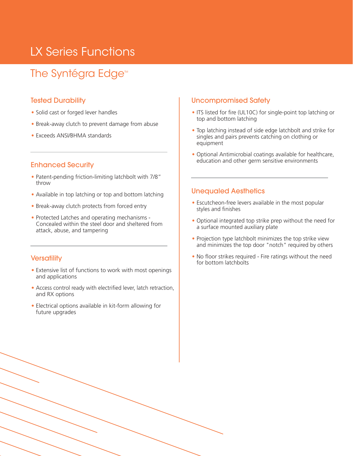### LX Series Functions

### The Syntégra Edge<sup>™</sup>

#### Tested Durability

- **•** Solid cast or forged lever handles
- **•** Break-away clutch to prevent damage from abuse
- **•** Exceeds ANSI/BHMA standards

#### Enhanced Security

- **•** Patent-pending friction-limiting latchbolt with 7/8" throw
- **•** Available in top latching or top and bottom latching
- **•** Break-away clutch protects from forced entry
- **•** Protected Latches and operating mechanisms Concealed within the steel door and sheltered from attack, abuse, and tampering

#### **Versatility**

- **•** Extensive list of functions to work with most openings and applications
- **•** Access control ready with electrified lever, latch retraction, and RX options
- **•** Electrical options available in kit-form allowing for future upgrades

#### Uncompromised Safety

- **•** ITS listed for fire (UL10C) for single-point top latching or top and bottom latching
- **•** Top latching instead of side edge latchbolt and strike for singles and pairs prevents catching on clothing or equipment
- **•** Optional Antimicrobial coatings available for healthcare, education and other germ sensitive environments

#### Unequaled Aesthetics

- **•** Escutcheon-free levers available in the most popular styles and finishes
- **•** Optional integrated top strike prep without the need for a surface mounted auxiliary plate
- **•** Projection type latchbolt minimizes the top strike view and minimizes the top door "notch" required by others
- **•** No floor strikes required Fire ratings without the need for bottom latchbolts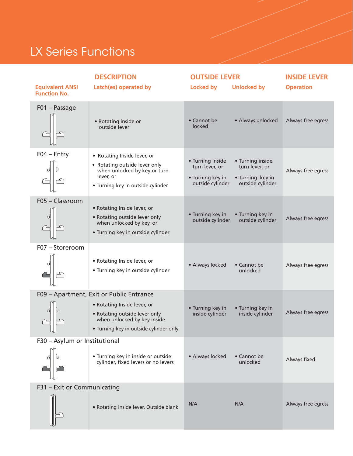## LX Series Functions

| <b>Equivalent ANSI</b><br><b>Function No.</b> | <b>DESCRIPTION</b><br>Latch(es) operated by                                                                                                                                       | <b>OUTSIDE LEVER</b><br><b>Locked by</b>                                   | <b>Unlocked by</b>                                                         | <b>INSIDE LEVER</b><br><b>Operation</b> |
|-----------------------------------------------|-----------------------------------------------------------------------------------------------------------------------------------------------------------------------------------|----------------------------------------------------------------------------|----------------------------------------------------------------------------|-----------------------------------------|
| F01 - Passage                                 | • Rotating inside or<br>outside lever                                                                                                                                             | • Cannot be<br>locked                                                      | • Always unlocked                                                          | Always free egress                      |
| $F04 - Entry$                                 | • Rotating Inside lever, or<br>• Rotating outside lever only<br>when unlocked by key or turn<br>lever, or<br>• Turning key in outside cylinder                                    | • Turning inside<br>turn lever, or<br>• Turning key in<br>outside cylinder | • Turning inside<br>turn lever, or<br>• Turning key in<br>outside cylinder | Always free egress                      |
| F05 - Classroom                               | • Rotating Inside lever, or<br>• Rotating outside lever only<br>when unlocked by key, or<br>• Turning key in outside cylinder                                                     | • Turning key in<br>outside cylinder                                       | • Turning key in<br>outside cylinder                                       | Always free egress                      |
| F07 - Storeroom                               | • Rotating Inside lever, or<br>• Turning key in outside cylinder                                                                                                                  | • Always locked                                                            | • Cannot be<br>unlocked                                                    | Always free egress                      |
| Q<br>UĻ                                       | F09 - Apartment, Exit or Public Entrance<br>• Rotating Inside lever, or<br>• Rotating outside lever only<br>when unlocked by key inside<br>• Turning key in outside cylinder only | • Turning key in<br>inside cylinder                                        | • Turning key in<br>inside cylinder                                        | Always free egress                      |
| F30 - Asylum or Institutional                 | • Turning key in inside or outside<br>cylinder, fixed levers or no levers                                                                                                         | • Always locked                                                            | • Cannot be<br>unlocked                                                    | Always fixed                            |
| F31 - Exit or Communicating                   | • Rotating inside lever. Outside blank                                                                                                                                            | N/A                                                                        | N/A                                                                        | Always free egress                      |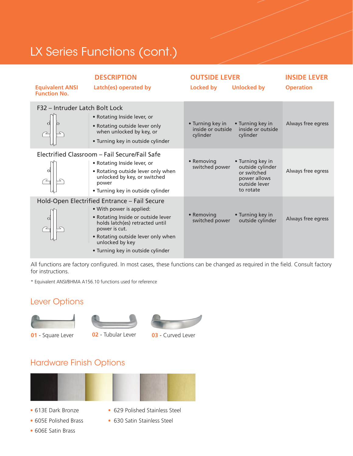## LX Series Functions (cont.)

| <b>Equivalent ANSI</b><br><b>Function No.</b> | <b>DESCRIPTION</b><br>Latch(es) operated by                                                                                                                                                                                                                      | <b>OUTSIDE LEVER</b><br>Locked by                 | <b>Unlocked by</b>                                                                                | <b>INSIDE LEVER</b><br><b>Operation</b> |
|-----------------------------------------------|------------------------------------------------------------------------------------------------------------------------------------------------------------------------------------------------------------------------------------------------------------------|---------------------------------------------------|---------------------------------------------------------------------------------------------------|-----------------------------------------|
| F32 - Intruder Latch Bolt Lock                | • Rotating Inside lever, or<br>• Rotating outside lever only<br>when unlocked by key, or<br>• Turning key in outside cylinder                                                                                                                                    | • Turning key in<br>inside or outside<br>cylinder | • Turning key in<br>inside or outside<br>cylinder                                                 | Always free egress                      |
|                                               | Electrified Classroom - Fail Secure/Fail Safe<br>• Rotating Inside lever, or<br>• Rotating outside lever only when<br>unlocked by key, or switched<br>power<br>• Turning key in outside cylinder                                                                 | • Removing<br>switched power                      | • Turning key in<br>outside cylinder<br>or switched<br>power allows<br>outside lever<br>to rotate | Always free egress                      |
|                                               | Hold-Open Electrified Entrance - Fail Secure<br>• With power is applied:<br>• Rotating Inside or outside lever<br>holds latch(es) retracted until<br>power is cut.<br>• Rotating outside lever only when<br>unlocked by key<br>• Turning key in outside cylinder | • Removing<br>switched power                      | • Turning key in<br>outside cylinder                                                              | Always free egress                      |

All functions are factory configured. In most cases, these functions can be changed as required in the field. Consult factory for instructions.

\* Equivalent ANSI/BHMA A156.10 functions used for reference

### Lever Options





**01** - Square Lever **02** - Tubular Lever **03** - Curved Lever

### Hardware Finish Options



- 
- 
- **•** 613E Dark Bronze **•** 629 Polished Stainless Steel
- **•** 605E Polished Brass **•** 630 Satin Stainless Steel
- **•** 606E Satin Brass